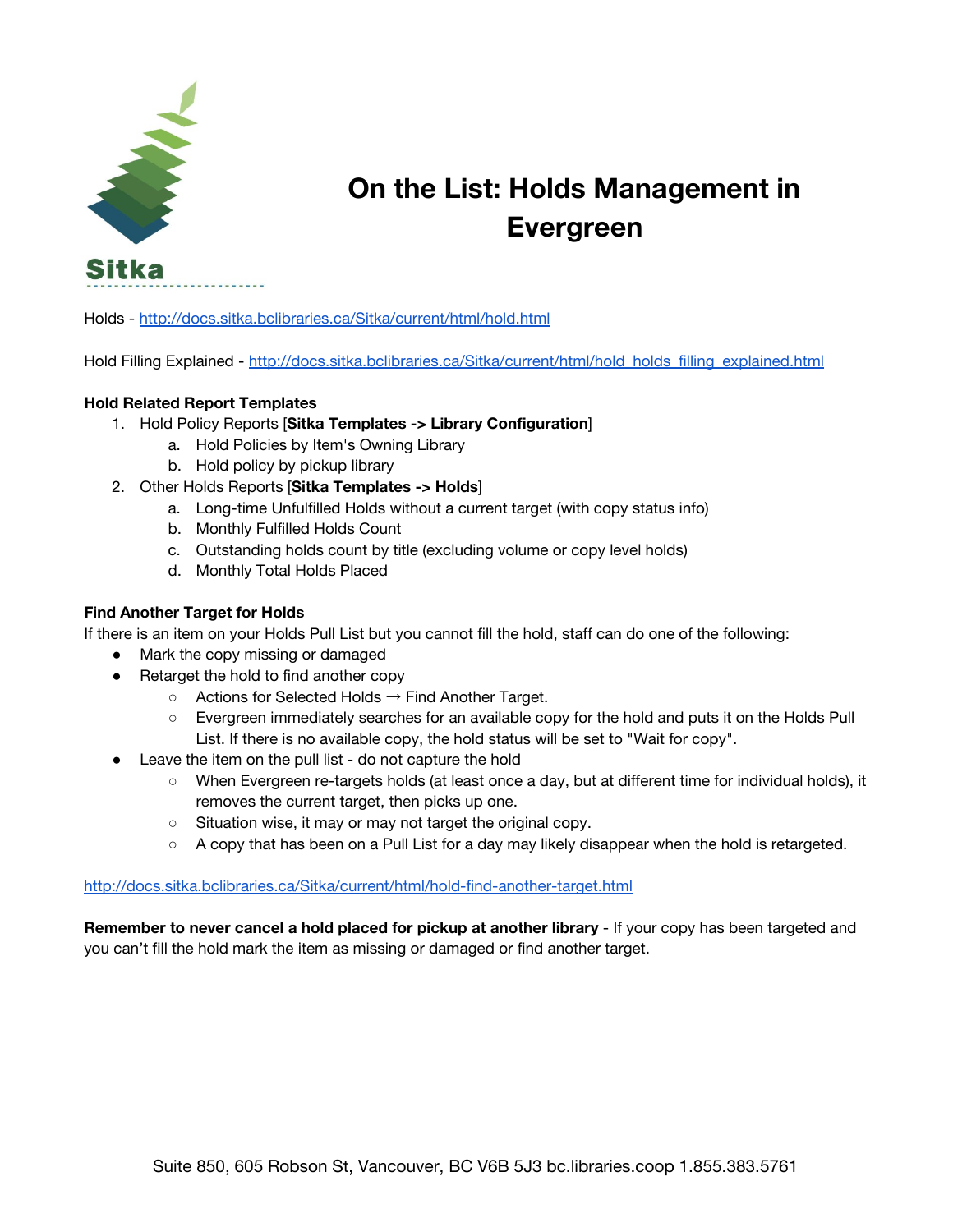

## **On the List: Holds Management in Evergreen**

Holds - <http://docs.sitka.bclibraries.ca/Sitka/current/html/hold.html>

Hold Filling Explained - [http://docs.sitka.bclibraries.ca/Sitka/current/html/hold\\_holds\\_filling\\_explained.html](http://docs.sitka.bclibraries.ca/Sitka/current/html/hold_holds_filling_explained.html)

## **Hold Related Report Templates**

- 1. Hold Policy Reports [**Sitka Templates -> Library Configuration**]
	- a. Hold Policies by Item's Owning Library
	- b. Hold policy by pickup library
- 2. Other Holds Reports [**Sitka Templates -> Holds**]
	- a. Long-time Unfulfilled Holds without a current target (with copy status info)
	- b. Monthly Fulfilled Holds Count
	- c. Outstanding holds count by title (excluding volume or copy level holds)
	- d. Monthly Total Holds Placed

## **Find Another Target for Holds**

If there is an item on your Holds Pull List but you cannot fill the hold, staff can do one of the following:

- Mark the copy missing or damaged
- Retarget the hold to find another copy
	- $\circ$  Actions for Selected Holds  $\rightarrow$  Find Another Target.
	- Evergreen immediately searches for an available copy for the hold and puts it on the Holds Pull List. If there is no available copy, the hold status will be set to "Wait for copy".
- Leave the item on the pull list do not capture the hold
	- When Evergreen re-targets holds (at least once a day, but at different time for individual holds), it removes the current target, then picks up one.
	- Situation wise, it may or may not target the original copy.
	- A copy that has been on a Pull List for a day may likely disappear when the hold is retargeted.

## <http://docs.sitka.bclibraries.ca/Sitka/current/html/hold-find-another-target.html>

**Remember to never cancel a hold placed for pickup at another library** - If your copy has been targeted and you can't fill the hold mark the item as missing or damaged or find another target.